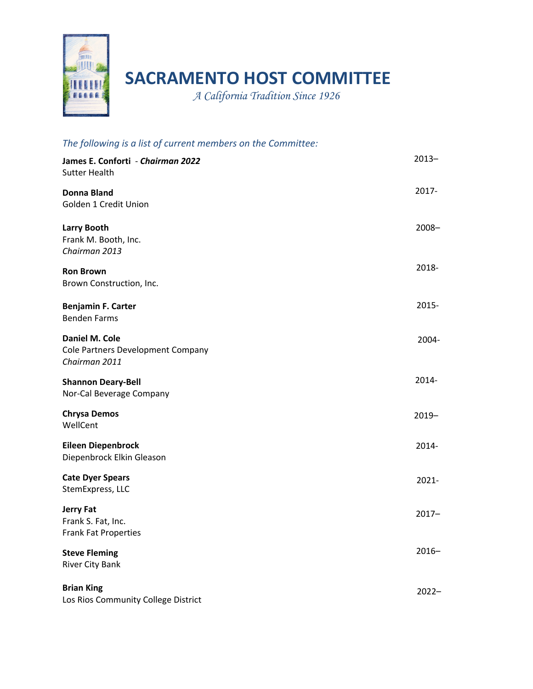

## **SACRAMENTO HOST COMMITTEE**

*A California Tradition Since 1926* 

| The following is a list of current members on the Committee:         |          |
|----------------------------------------------------------------------|----------|
| James E. Conforti - Chairman 2022<br><b>Sutter Health</b>            | $2013 -$ |
| <b>Donna Bland</b><br>Golden 1 Credit Union                          | $2017 -$ |
| <b>Larry Booth</b><br>Frank M. Booth, Inc.<br>Chairman 2013          | $2008 -$ |
| <b>Ron Brown</b><br>Brown Construction, Inc.                         | 2018-    |
| <b>Benjamin F. Carter</b><br><b>Benden Farms</b>                     | 2015-    |
| Daniel M. Cole<br>Cole Partners Development Company<br>Chairman 2011 | 2004-    |
| <b>Shannon Deary-Bell</b><br>Nor-Cal Beverage Company                | 2014-    |
| <b>Chrysa Demos</b><br>WellCent                                      | $2019 -$ |
| <b>Eileen Diepenbrock</b><br>Diepenbrock Elkin Gleason               | 2014-    |
| <b>Cate Dyer Spears</b><br>StemExpress, LLC                          | $2021 -$ |
| <b>Jerry Fat</b><br>Frank S. Fat, Inc.<br>Frank Fat Properties       | $2017 -$ |
| <b>Steve Fleming</b><br><b>River City Bank</b>                       | $2016 -$ |
| <b>Brian King</b><br>Los Rios Community College District             | $2022 -$ |